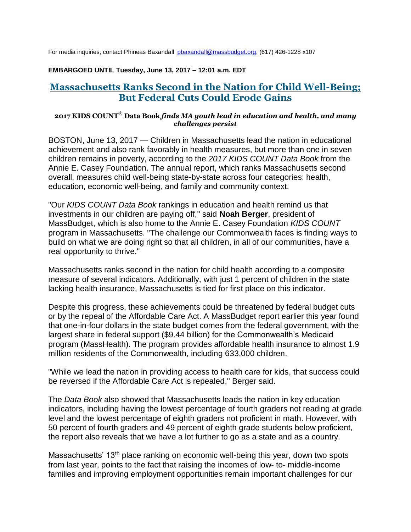For media inquiries, contact Phineas Baxandall [pbaxandall@massbudget.org,](mailto:pbaxandall@massbudget.org) (617) 426-1228 x107

#### **EMBARGOED UNTIL Tuesday, June 13, 2017 – 12:01 a.m. EDT**

# **Massachusetts Ranks Second in the Nation for Child Well-Being; But Federal Cuts Could Erode Gains**

#### **2017 KIDS COUNT**® **Data Book** *finds MA youth lead in education and health, and many challenges persist*

BOSTON, June 13, 2017 — Children in Massachusetts lead the nation in educational achievement and also rank favorably in health measures, but more than one in seven children remains in poverty, according to the *2017 KIDS COUNT Data Book* from the Annie E. Casey Foundation. The annual report, which ranks Massachusetts second overall, measures child well-being state-by-state across four categories: health, education, economic well-being, and family and community context.

"Our *KIDS COUNT Data Book* rankings in education and health remind us that investments in our children are paying off," said **Noah Berger**, president of MassBudget, which is also home to the Annie E. Casey Foundation *KIDS COUNT* program in Massachusetts. "The challenge our Commonwealth faces is finding ways to build on what we are doing right so that all children, in all of our communities, have a real opportunity to thrive."

Massachusetts ranks second in the nation for child health according to a composite measure of several indicators. Additionally, with just 1 percent of children in the state lacking health insurance, Massachusetts is tied for first place on this indicator.

Despite this progress, these achievements could be threatened by federal budget cuts or by the repeal of the Affordable Care Act. A MassBudget report earlier this year found that one-in-four dollars in the state budget comes from the federal government, with the largest share in federal support (\$9.44 billion) for the Commonwealth's Medicaid program (MassHealth). The program provides affordable health insurance to almost 1.9 million residents of the Commonwealth, including 633,000 children.

"While we lead the nation in providing access to health care for kids, that success could be reversed if the Affordable Care Act is repealed," Berger said.

The *Data Book* also showed that Massachusetts leads the nation in key education indicators, including having the lowest percentage of fourth graders not reading at grade level and the lowest percentage of eighth graders not proficient in math. However, with 50 percent of fourth graders and 49 percent of eighth grade students below proficient, the report also reveals that we have a lot further to go as a state and as a country.

Massachusetts' 13<sup>th</sup> place ranking on economic well-being this year, down two spots from last year, points to the fact that raising the incomes of low- to- middle-income families and improving employment opportunities remain important challenges for our